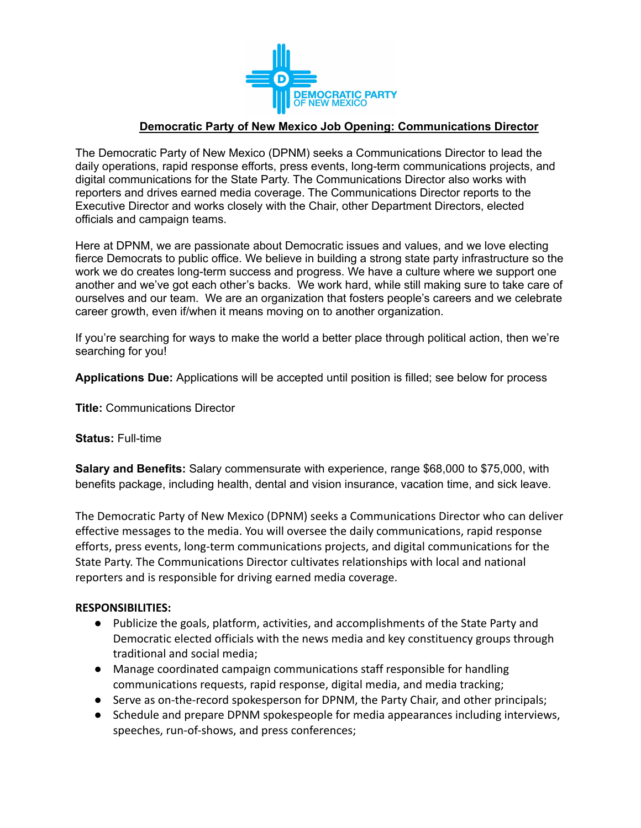

# **Democratic Party of New Mexico Job Opening: Communications Director**

The Democratic Party of New Mexico (DPNM) seeks a Communications Director to lead the daily operations, rapid response efforts, press events, long-term communications projects, and digital communications for the State Party. The Communications Director also works with reporters and drives earned media coverage. The Communications Director reports to the Executive Director and works closely with the Chair, other Department Directors, elected officials and campaign teams.

Here at DPNM, we are passionate about Democratic issues and values, and we love electing fierce Democrats to public office. We believe in building a strong state party infrastructure so the work we do creates long-term success and progress. We have a culture where we support one another and we've got each other's backs. We work hard, while still making sure to take care of ourselves and our team. We are an organization that fosters people's careers and we celebrate career growth, even if/when it means moving on to another organization.

If you're searching for ways to make the world a better place through political action, then we're searching for you!

**Applications Due:** Applications will be accepted until position is filled; see below for process

**Title:** Communications Director

### **Status:** Full-time

**Salary and Benefits:** Salary commensurate with experience, range \$68,000 to \$75,000, with benefits package, including health, dental and vision insurance, vacation time, and sick leave.

The Democratic Party of New Mexico (DPNM) seeks a Communications Director who can deliver effective messages to the media. You will oversee the daily communications, rapid response efforts, press events, long-term communications projects, and digital communications for the State Party. The Communications Director cultivates relationships with local and national reporters and is responsible for driving earned media coverage.

## **RESPONSIBILITIES:**

- Publicize the goals, platform, activities, and accomplishments of the State Party and Democratic elected officials with the news media and key constituency groups through traditional and social media;
- Manage coordinated campaign communications staff responsible for handling communications requests, rapid response, digital media, and media tracking;
- Serve as on-the-record spokesperson for DPNM, the Party Chair, and other principals;
- Schedule and prepare DPNM spokespeople for media appearances including interviews, speeches, run-of-shows, and press conferences;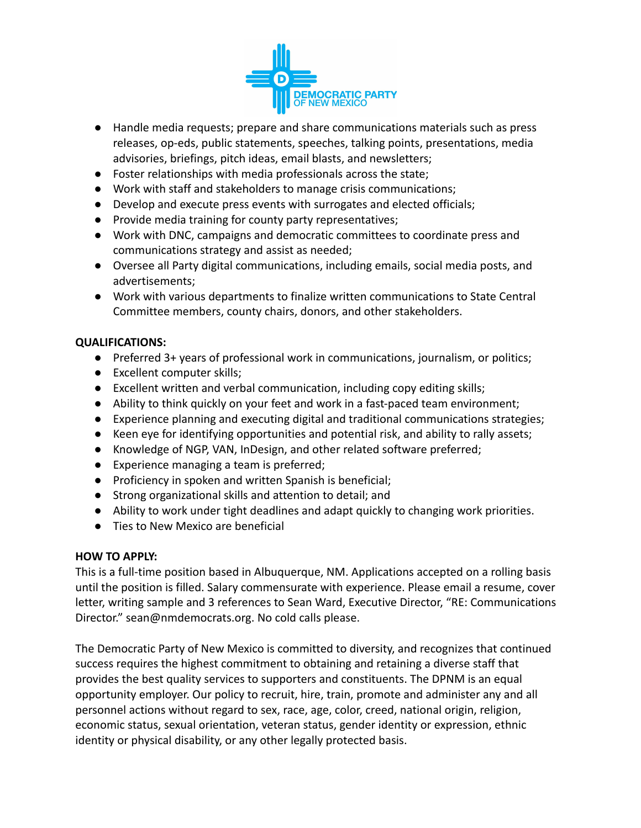

- Handle media requests; prepare and share communications materials such as press releases, op-eds, public statements, speeches, talking points, presentations, media advisories, briefings, pitch ideas, email blasts, and newsletters;
- Foster relationships with media professionals across the state;
- Work with staff and stakeholders to manage crisis communications;
- Develop and execute press events with surrogates and elected officials;
- Provide media training for county party representatives;
- Work with DNC, campaigns and democratic committees to coordinate press and communications strategy and assist as needed;
- Oversee all Party digital communications, including emails, social media posts, and advertisements;
- Work with various departments to finalize written communications to State Central Committee members, county chairs, donors, and other stakeholders.

## **QUALIFICATIONS:**

- Preferred 3+ years of professional work in communications, journalism, or politics;
- Excellent computer skills;
- Excellent written and verbal communication, including copy editing skills;
- Ability to think quickly on your feet and work in a fast-paced team environment;
- Experience planning and executing digital and traditional communications strategies;
- Keen eye for identifying opportunities and potential risk, and ability to rally assets;
- Knowledge of NGP, VAN, InDesign, and other related software preferred;
- Experience managing a team is preferred;
- Proficiency in spoken and written Spanish is beneficial;
- Strong organizational skills and attention to detail; and
- Ability to work under tight deadlines and adapt quickly to changing work priorities.
- Ties to New Mexico are beneficial

## **HOW TO APPLY:**

This is a full-time position based in Albuquerque, NM. Applications accepted on a rolling basis until the position is filled. Salary commensurate with experience. Please email a resume, cover letter, writing sample and 3 references to Sean Ward, Executive Director, "RE: Communications Director." sean@nmdemocrats.org. No cold calls please.

The Democratic Party of New Mexico is committed to diversity, and recognizes that continued success requires the highest commitment to obtaining and retaining a diverse staff that provides the best quality services to supporters and constituents. The DPNM is an equal opportunity employer. Our policy to recruit, hire, train, promote and administer any and all personnel actions without regard to sex, race, age, color, creed, national origin, religion, economic status, sexual orientation, veteran status, gender identity or expression, ethnic identity or physical disability, or any other legally protected basis.